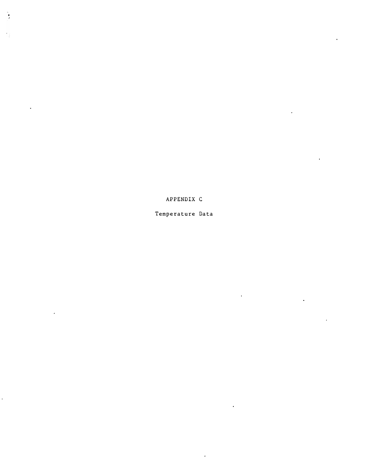APPENDIX C

 $\bullet$ 

 $\sim 10$ 

 $\frac{1}{2}$ 

 $\frac{1}{2}$ 

 $\ddot{\phantom{a}}$ 

 $\hat{\mathcal{A}}$ 

 $\ddot{\phantom{1}}$ 

Temperature Data

 $\ddot{\phantom{1}}$ 

 $\ddot{\phantom{0}}$ 

 $\hat{\mathcal{L}}$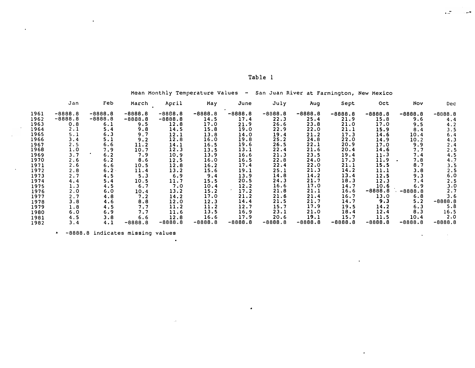| `ab. |  |  |
|------|--|--|
|------|--|--|

Mean Monthly Temperature Values - San Juan River at Farmington, New Mexico

|      | Jan       | Feb       | March     | April     | May       | June      | July      | Aug       | Sept      | <b>Oct</b> | Nov       | Dec               |
|------|-----------|-----------|-----------|-----------|-----------|-----------|-----------|-----------|-----------|------------|-----------|-------------------|
| 1961 | $-8888.8$ | $-8888.8$ | $-8888.8$ | $-8888.8$ | $-8888.8$ | $-8888.8$ | $-8888.8$ | $-8888.8$ | $-8888.8$ | $-8888.8$  | $-8888.8$ | $-8888.8$         |
| 1962 | $-8888.8$ | $-8888.8$ | $-8888.8$ | $-8888.8$ | 14.5      | 17.4      | 22.3      | 25.4      | 21.9      | 15.8       | 9.6       | 4.4               |
| 1963 | 0.8       | 6.1       | 9.5       | 12.8      | 17.0      | 21.9      | 26.6      | 23.8      | 21.0      | 17.0       | 9.5       | 4.2               |
| 1964 | 2.1       | 5.4       | 9.8       | 14.5      | 15.8      | 19.0      | 22.9      | 22.0      | 21.1      | 15.9       | 8.4       | 3.5               |
| 1965 | 5.1       | 6.3       | 9.7       | 12.1      | 13.8      | 14.0      | 19.4      | 21.2      | 17.3      | 14.6       | 10.4      | 6.4               |
| 1966 | 3.4       | 5.1       | 9.2       | 12.8      | 16.0      | 19.8      | 25.2      | 24.8      | 22.0      | 14.9       | 10.2      | 4.3               |
| 1967 | 2.5       | 6.6       | 11.2      | 14.1      | 16.5      | 19.6      | 26.5      | 22.1      | 20.9      | 17.0       | 9.9       | 2.4               |
| 1968 | 1.0       | 7.9       | 10.7      | 12.3      | 13.5      | 13.1      | 22.4      | 21.6      | 20.4      | 14.6       | 7.7       | 2.5               |
| 1969 | 3.7       | 6.2       | 7.9       | 10.9      | 13.9      | 16.6      | 21.3      | 23.5      | 19.4      | 11.3       | 7.4       | 4.5               |
| 1970 | 2.6       | 6.2       | 8.6       | 12.5      | 16.0      | 16.5      | 22.8      | 24.0      | 17.3      | 11.9       | 7.8       | $\frac{4.7}{3.5}$ |
| 1971 | 2.6       | 6.6       | 10.5      | 12.8      | 16.2      | 17.4      | 22.4      | 22.0      | 21.1      | 15.5       | 8.7       |                   |
| 1972 | 2.8       | 6.2       | 11.4      | 13.2      | 15.6      | 19.1      | 25.1      | 21.3      | 14.2      | 11.1       | 3.8       | 2.5               |
| 1973 | 2.7       | 4.5       | 5.3       | 6.9       | 9.4       | 13.9      | 14.8      | 14.2      | 13.4      | 12.5       | 9.3       | 6.0               |
| 1974 | 4.4       | 5.4       | 10.5      | 11.7      | 15.5      | 20.5      | 24.3      | 21.7      | 18.3      | 12.3       | 7.4       | 2.5               |
| 1975 | 1.3       | 4.5       | 6.7       | 7.0       | 10.4      | 12.2      | 16.6      | 17.0      | 14.7      | 10.6       | 6.9       | ։3․0<br>2․7       |
| 1976 | 2.0       | 6.0       | 10.4      | 13.2      | 15.2      | 17.2      | 21.8      | 21.1      | 16.6      | $-8888.8$  | $-8888.8$ |                   |
| 1977 | 2.7       | 4.8       | 7.2       | 14.2      | 17.0      | 21.2      | 21.6      | 21.4      | 16.7      | 13.0       | 6.8       | 3.6               |
| 1978 | 3.8       | 4.6       | 8.8       | 12.0      | 12.3      | 14.4      | 21.5      | 21.7      | 14.7      | 9.3        | 5.2       | $-8888.8$         |
| 1979 | 1.8       | 4.5       | 7.7       | 11.2      | 11.2      | 12.7      | 15.7      | 17.9      | 19.5      | 14.2       | 6.3       | 5.8               |
| 1980 | 6.0       | 6.9       | 7.7       | 11.6      | 13.5      | 16.9      | 23.1      | 21.0      | 18.4      | 12.4       | 8.3       | 16.5              |
| 1981 | 4.5       | 3.8       | 6.6       | 12.8      | 16.6      | 17.9      | 20.6      | 19.1      | 15.7      | 11.5       | 10.4      | 2.0               |
| 1982 | 3.4       | 4.1       | $-8888.8$ | $-8888.8$ | $-8888.8$ | $-8888.8$ | $-8888.8$ | $-8888.8$ | $-8888.8$ | $-8888.8$  | $-8888.8$ | $-8888.8$         |

 $\bullet$ 

\* -8888.8 indicates missing values

 $\bullet$ 

 $\sim$ 

 $\mathbf{v}$ 

 $\ddot{\phantom{a}}$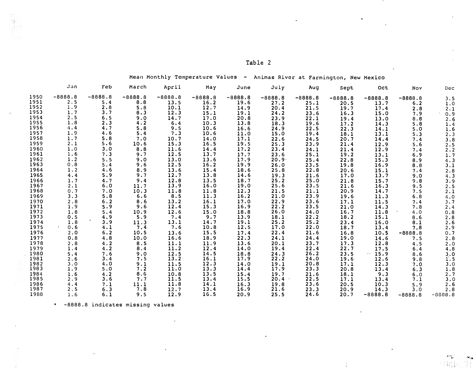| я<br>Ð<br>w<br>٠<br>۰. |  |
|------------------------|--|
|------------------------|--|

Mean Monthly Temperature Values - Animas River at Farmington, New Mexico

|              | Jan        | Feb        | March       | April     | May          | June         | July              | Aug          | Sept         | Oct          | Nov       | Dec          |
|--------------|------------|------------|-------------|-----------|--------------|--------------|-------------------|--------------|--------------|--------------|-----------|--------------|
| 1950         | $-8888.8$  | $-8888.8$  | $-8888.8$   | $-8888.8$ | $-8888.8$    | $-8888.8$    | $-8888.8$         | $-8888.8$    | $-8888.8$    | $-8888.8$    | $-8888.8$ | 3.5          |
| 1951         | 2.5        | 5.4        | 8.8         | 13.5      | 16.2         | 19.6         | 27.2              | 25.1         | 20.5         | 13.7         | 6.2       | 1.0          |
| 1952         | 1.9        | 2.8        | 5.8         | 10.1      | 12.7         | 14.9         | 20.4              | 21.5         | 19.7         | 17.4         | 2.8       | 2.1          |
| 1953         | 1.7        | 3.7        | 8.3         | 12.3      | 15.1         | 19.1         | 24.2              | 23.6         | 16.3         | 15.0         | 7.9       | 0.9          |
| 1954         | 2.5        | 6.5        | 9.0         | 14.7      | 17.0         | 20.8         | 23.9              | 22.1         | 19.4         | 13.0         | 8.8       | 2.6          |
| 1955         | 1.8        | 2.3        | 4.2         | 6.4       | 10.3         | 13.8         | 18.3              | 19.6         | 17.2         | 14.3         | 5.8       | 1.4          |
| 1956         | 4.4        | 4.7        | 5.8         | 9.5       | 10.6         | 16.6         | 24.9              | 22.5         | 22.3         | 14.1         | 5.0       | 1.6          |
| 1957         | 1.9        | 4.6        | 5.4         | 7.3       | 10.6         | 11.0         | 15.0              | 19.4         | 18.1         | 13.1         | 5.3       | 2.3          |
| 1958         | 1.7        | 5.8        | 7.0         | 10.7      | 14.0         | 17.1         | 22.6              | 24.5         | 20.7         | 14.4         | 7.4       | 3.8          |
| 1959         | 2.1        | 5.6        | 10.6        | 15.3      | 16.5         | 19.5         | 25.3              | 23.9         | 21.4         | 12.9         | 5.6       |              |
| 1960         | 1.0        | 3.0        | 8.8         | 11.6      | 14.4         | 17.2         | 23.4              | 24.1         | 21.4         | 12.9         | 7.4       | $2.5$<br>2.2 |
| 1961         | 1.6        | 7.3        | 9.7         | 12.5      | 13.7         | 17.7         | 23.6              | 25.1         | 19.2         | 13.1         | 6.9       | 1.7          |
| 1962         | 1.2        | 5.5        | 9.0         | 13.0      | 13.6         | 17.9         | 20.9 <sup>7</sup> | 25.4         | 22.8         | 15.3         | 8.9       | 4.3          |
| 1963         | 0.8        | 5.4        | 9.6         | 12.5      | 16.2         | 19.9         | 26.0              | 23.5         | 19.8         | 16.9         | 8.8       | 3.1          |
| 1964         | 1.2        | 4.6        | 8.9         | 13.6      | 15.4         | 18.6         | 25.8              | 22.8         | 20.6         | 15.1         | 7.4       | 2.8          |
| 1965         | 4.4        | 5.9        | 9.7         | 12.7      | 13.8         | 14.6         | 19.3              | 21.6         | 17.0         | 13.7         | 9.0       | 4.3          |
| 1966         | 1.7        | 4.7        | 9.4         | 12.8      | 13.5         | 18.7         | 25.2              | 25.0         | 21.8         | 15.7         | 9.8       | 3.9          |
| 1967         | 2.1        | 6.0        | 11.7        | 13.9      | 16.0         | 19.0         | 25.6              | 23.5         | 21.6         | 16.3         | 9.5       | 2.5          |
| 1968         | 0.7        | 7.0        | 10.3        | 11.8      | 11.8         | 12.3         | 21.5              | 21.1         | 20.9         | 14.7         | 7.5       | 2.1          |
| 1969         | 3.3        | 5.8        | 6.6         | 8.5       | 11.3         | 16.2         | 21.0              | 23.9         | 19.6         | 11.3         | 6.8       | 4.0          |
| 1970         | 2.8        | 6.2        | 8.6         | 13.2      | 16.1         | 17.0         | 22.9              | 23.6         | 17.1         | 11.5         | 7.4       | 3.7          |
| 1971         | 1.9        | 5.9        | 9.6         | 12.4      | 15.3         | 16.9         | 22.2              | 23.5         | 21.0         | 14.3         | 7.8       | 2.4          |
| 1972         | 1.8        | 5.4        | 10.9        | 12.6      | 15.0         | 18.8         | 26.0              | 24.0         | 16.7         | 11.8         | 4.0       | 0.8          |
| 1973         | 0.5        | 4.9        | 5.9         | 7.4       | 9.7          | 13.9         | 18.1              | 22.2         | 18.2         | 15.1         | 8.6       | 2.8          |
| 1974         | 1.8        | 3.9        | 11.3        | 13.1      | 14.7         | 19.1         | 25.2              | 25.2         | 23.4         | 16.0         | 8.1       | 2.6          |
| 1975         | 0.6        | 4.1        | 7.4         | 7.6       | 10.8         | 12.5         | 17.0              | 22.0         | 18.7         | 13.4         | 7.8       | 2.9          |
| 1976         | 2.0        | 6.2        | 10.5        | 13.6      | 15.5         | 17.4         | 22.4              | 21.6         | 16.8         | 10.5         | $-8888.8$ | 0.7          |
| 1977         | 0.8        | 4.8        | 10.0        | 16.6      | 18.9         | 22.3         | 24.1              | 24.4         | 19.0         | 14.6         | 7.5       | 2.8          |
| 1978         | 2.8        | 4.2        | 8.5         | 11.1      | 11.9         | 13.6         | 20.1              | 23.7         | 17.3         | 12.8         | 4.5       | 2.0          |
| 1979         | 1.4        | 4.2        | 8.4         | 11.2      | 12.4         | 14.0         | 19.4              | 22.4         | 22.7         | 17.5         | 6.4       | 4.8          |
| 1980         | 5.4        | 7.6        | 9.0         | 12.5      | 14.5         | 18.8         | 24.3              | 26.2         | 23.5         | $\cdot$ 15.9 | 8.6       | 3.0          |
| 1981         | 2.6        | 3.4        | 7.5         | 13.2      | 16.1         | 17.9         | 22.2              | 24.0         | 19.6         | 12.6         | 9.8       | 1.5          |
| 1982         | 3.0        | 4.0        | 9.1         | 11.5      | 12.3         | 14.0         | 19.1              | 20.8         | 17.1         | 12.3         | 7.0       | 3.0          |
| 1983         | 1.9        | 5.0        | 7.2         | 11.0      | 13.3         | 14.4         | 17.9              | 23.3         | 20.8         | 13.4         | 6.3       | 1.8          |
| 1984         | 1.6        | 4.2        | 8.6         | 10.8      | 13.5         | 15.4         | 19.7              | 21.6         | 18.1         | 9.3          | 6.0       | 2.7          |
| 1985<br>1986 | 2.9        | 3.6<br>7.1 | 7.7         | 11.5      | 13.4         | 15.5<br>16.3 | 20.4<br>19.8      | 22.5<br>23.6 | 17.1<br>20.5 | 13.4         | 7.1       | 3.0          |
| 1987         | 4.4<br>2.5 |            | 11.1<br>7.8 | 11.8      | 14.1<br>13.4 | 16.9         | 21.6              |              | 20.9         | 10.3         | 5.9       | 2.6          |
| 1988         | 1.6        | 6.3        |             | 12.7      | 16.5         | 20.9         | 25.5              | 23.3         |              | 14.3         | 3.0       | 2.8          |
|              |            | 6.1        | 9.5         | 12.9      |              |              |                   | 24.6         | 20.7         | $-8888.8$    | $-8888.8$ | $-8888.8$    |

\* -8888.8 indicates missing values

j

 $\mathbf{r}$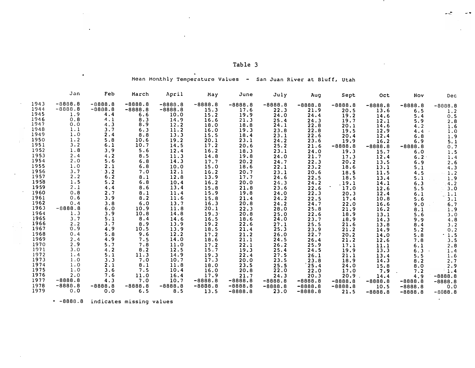| o<br>s<br>н. |  |
|--------------|--|
|--------------|--|

 $\bullet$ 

حيد

 $\hat{\textbf{z}}$ 

- 4

Mean Mon.thly Temperature Values - San Juan River at Bluff, Utah

|              | Jan        | Feb        | March      | April               | May          | June         | July         | Aug               | Sept              | Oct       | Nov         | Dec                           |
|--------------|------------|------------|------------|---------------------|--------------|--------------|--------------|-------------------|-------------------|-----------|-------------|-------------------------------|
| 1943         | $-8888.8$  | $-8888.8$  | $-8888.8$  | $-8888.8$           | $-8888.8$    | $-8888.8$    | $-8888.8$    | $-8888.8$         | $-8888.8$         | $-8888.8$ | $-8888.8$   | $-8888.8$                     |
| 1944         | $-8888.8$  | $-8888.8$  | $-8888.8$  | $-8888.8$           | 15.3         | 17.6         | 22.3         | 21.9              | 20.5              | 13.6      | 6.5         | 1.2                           |
| 1945         | 1.9        | 4.4        | 6.6        | 10.0                | 15.2         | 19.9         | 24.0         | 24.4              | 19.2              | 14.6      | 5.4         | 0.5                           |
| 1946         | 0.8        | 4.1        | 8.3        | 14.9                | 16.6         | 21.3         | 25.4         | 24.3              | 19.7              | 12.1      | 5.9         | 2.8                           |
| 1947         | 0.0        | 4.3        | 8.9        | 12.2                | 18.0         | 18.8         | 24.1         | 22.8              | 20.1              | 14.6      | 4.2         | 1.6                           |
| 1948         | 1.1        | 3.7        | 6.3        | 11.2                | 16.0         | 19.3         | 23.8         | 22.8              | 19.5              | 12.9      | 4.4         | 1.0                           |
| 1949         | 1.0        | 2.4        | 8.8        | 13.3                | 15.5         | 18.4         | 23.1         | 22.6              | 20.4              | 12.4      | 6.8         | 1.9                           |
| 1950         | 1.2        | 5.8        | 10.6       | 19.2                | 20.1         | 23.1         | 24.2         | 23.6              | 19.9              | 16.2      | 6.9         | 5.1                           |
| 1951         | 3.2        | 6.1        | 10.7       | 14.5                | 17.2         | 20.6         | 25.2         | 21.6              | $-8888.8$         | $-8888.8$ | $-8888.8$   | 0.7                           |
| 1952         | 1.8        | 3.9        | 5.6        | 12.4                | 16.2         | 18.3         | 23.1         | 24.0              | 19.3              | 15.7      | 6.0         | 1.5                           |
| 1953         | 2.4        | 4.2        | 8.5        | 11.3                | 14.8         | 19.8         | 24.0         | 21.7              | 17.3              | 12.4      | $6.2 \cdot$ | 1.4                           |
| 1954         | 2.0        | 5.6        | 6.8        | 14.3                | 17.7         | 20.2         | 24.7         | 22.3              | 20.2              | 13.5      | 6.9         | 2.6                           |
| 1955         | 1.0        | 2.1        | 6.8        | 10.0                | 15.0         | 18.6         | 22.1         | 23.2              | 18.6              | 13.1      | 5.1         | 4.3                           |
| 1956         | 3.7        | 3.2        | 7.0        | 12.1                | 16.2         | 20.7         | 23.1         | 20.6              | 18.5              | 11.5      | 4.5         | 1.2                           |
| 1957         | 2.2        | 6.2        | 8.1        | 12.8                | 13.9         | 17.7         | 24.6         | 22.5              | 18.5              | 13.4      | 5.1         | 1.9                           |
| 1958         | 1.5        | 5.2        | 6.8        | 10.4                | 16.2         | 20.0         | 24.3         | 24.2              | . 19. 1           | 14.1      | 6.3         |                               |
| 1959         | 2.1        | 4.4        | 8.6        | 13.4                | 15.8         | 21.8         | 23.6         | 22.6              | 17.0              | 12.6      | 5.5         | $\frac{4 \cdot 2}{3 \cdot 0}$ |
| 1960         | 0.8        | 2.7        | 8.1        | 11.4                | 15.9         | 19.8         | 24.0         | 22.3              | 20.3              | 12.4      | 6.1         | $\overline{1.1}$              |
| 1961         | 0.6        | 3.9        | 8.2        | 11.6                | 15.8         | 21.4         | 24.2         | 22.5              | 17.4              | 10.8      | 5.6         | 3.1                           |
| 1962         | 0.4        | 3.8        | 6.0        | 13.7                | 16.3         | 20.8         | 24.2         | 24.7              | 22.0              | 16.6      | 9.0         | 6.7                           |
| 1963         | $-8888.8$  | 6.0        | 10.9       | 11.8                | 20.1         | 22.3         | 28.0         | 25.8              | 21.9              | 16.2      | 8.1         | 1.9                           |
| 1964         | 1.3        | 3.9        | 10.8       | 14.8                | 19.3         | 20.8         | 25.0         | 22.6              | 18.9              | 13.1      | 5.6         | 3.0                           |
| 1965         | 3.7        | 5.1        | 8.4        | 14.6                | 16.5         | 18.6         | 24.0         | 23.7              | 18.9              | 14.3      | 9.9         | $\frac{4.8}{3.2}$             |
| 1966         | 2.2        | 3.7        | 8.9        | 13.9                | 19.2         | 22.6         | 27.1         | 25.5              | 21.6              | 13.8      | 8.4         |                               |
| 1967         | 0.9        | 4.9        | 10.5       | 13.9                | 18.5         | 21.4         | 25.3         | 23.9              | 21.2              | 14.9      | 5.2         | 0.2                           |
| 1968         | 0.4        | 5.8        | 9.6        | 12.2                | 17.2         | 21.2         | 26.0         | 22.7              | 20.2              | 14.0      | 5.8         | 1.5                           |
| 1969<br>1970 | 2.4        | 4.9        | 7.5        | 14.0                | 18.6         | 21.1         | 24.5         | 26.4              | 21.2              | 12.6      | 7.8         | 3.5                           |
| 1971         | 2.9        | 5.7        | 7.8        | $\frac{11.0}{12.5}$ | 17.2         | 22.1         | 26.2         | 25.9              | 17.1              | 11.1      | 6.1         | 2.8                           |
| 1972         | 3.0        | 4.2        | 8.2        |                     | 15.7         | 19.3         | 25.4         | 24.5              | 19.9              | 13.3      | 6.3         | $\cdot$ 1.4                   |
| 1973         | 1.4<br>1.0 | 5.1        | 11.3       | 14.9                | 19.3         | 22.4         | 27.5         | 26.1              | 21.1              | 13.4      | 5.5         | 1.6                           |
| 1974         | 1.0        | 3.3<br>2.1 | 7.0<br>8.1 | 10.7<br>11.8        | 17.3<br>18.0 | 20.0<br>23.5 | 23.5         | 23.8              | 18.9              | 14.3      | 8.2         | 2.7                           |
| 1975         | 1.0        | 3.6        | 7.5        | 10.4                | 16.0         | 20.8         | 25.5         | 25.4              | 24.0              | 15.8      | 8.0         | 2.9                           |
| 1976         | 2.0        | 7.6        | 11.0       | 16.4                | 17.9         | 21.7         | 22.0<br>24.3 | 22.0              | 17.0              | 7.9       | 7.2         | 1.4                           |
| 1977         | $-8888.8$  | 4.3        | 7.0        | 10.7                | $-8888.8$    | $-8888.8$    | $-8888.8$    | 20.3<br>$-8888.8$ | 20.9<br>$-8888.8$ | 14.4      | 4.9         | $-8888.8$                     |
| 1978         | $-8888.8$  | $-8888.8$  | $-8888.8$  | $-8888.8$           | $-8888.8$    | $-8888.8$    | $-8888.8$    |                   |                   | $-8888.8$ | $-8888.8$   | $-8888.8$                     |
| 1979         | 0.0        | 0.0        | 6.5        | 8.5                 | 13.5         | $-8888.8$    |              | $-8888.8$         | $-8888.8$         | 10.5      | $-8888.8$   | 0.0                           |
|              |            |            |            |                     |              |              | 23.0         | $-8888.8$         | 21.5              | $-8888.8$ | $-8888.8$   | $-8088.8$                     |

\* -8888.8 indicates missing values

 $\ddot{\phantom{a}}$ 

 $\bullet$ 

 $\hat{\mathbf{r}}$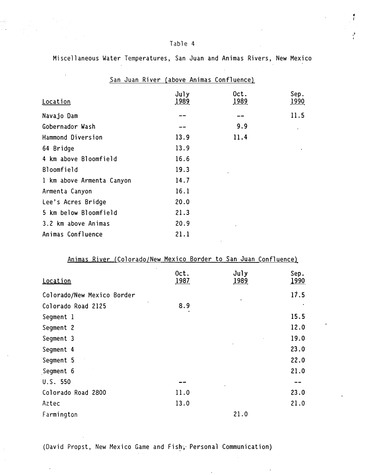i' i.

Miscellaneous Water Temperatures, San Juan and Animas Rivers, New Mexico

| San Juan River (above Animas Confluence) |                        |                      |                      |
|------------------------------------------|------------------------|----------------------|----------------------|
| <b>Location</b>                          | $J$ uly<br><u>1989</u> | Oct.<br><u> 1989</u> | Sep.<br><u> 1990</u> |
| Navajo Dam                               |                        |                      | 11.5                 |
| Gobernador Wash                          |                        | 9.9                  |                      |
| Hammond Diversion                        | 13.9                   | 11.4                 |                      |
| 64 Bridge                                | 13.9                   |                      |                      |
| 4 km above Bloomfield                    | 16.6                   |                      |                      |
| Bloomfield                               | 19.3                   |                      |                      |
| 1 km above Armenta Canyon                | 14.7                   |                      |                      |
| Armenta Canyon                           | 16.1                   |                      |                      |
| Lee's Acres Bridge                       | 20.0                   |                      |                      |
| 5 km below Bloomfield                    | 21.3                   |                      |                      |
| 3.2 km above Animas                      | 20.9                   |                      |                      |
| Animas Confluence                        | 21.1                   |                      |                      |

## Animas River {Colorado/New Mexico Border to San Juan Confluence}

| Location                   | Oct.<br>1987 | July<br><u>1989</u> | Sep.<br>1990 |
|----------------------------|--------------|---------------------|--------------|
| Colorado/New Mexico Border |              |                     | 17.5         |
| Colorado Road 2125         | 8.9          |                     |              |
| Segment 1                  |              |                     | 15.5         |
| Segment 2                  |              |                     | 12.0         |
| Segment 3                  |              |                     | 19.0         |
| Segment 4                  |              |                     | 23.0         |
| Segment 5                  |              |                     | 22.0         |
| Segment 6                  |              |                     | 21.0         |
| U.S. 550                   | --           |                     | --           |
| Colorado Road 2800         | 11.0         |                     | 23.0         |
| Aztec                      | 13.0         |                     | 21.0         |
| Farmington                 |              | 21.0                |              |

(David Propst, New Mexico Game and Fish, Personal Communication)